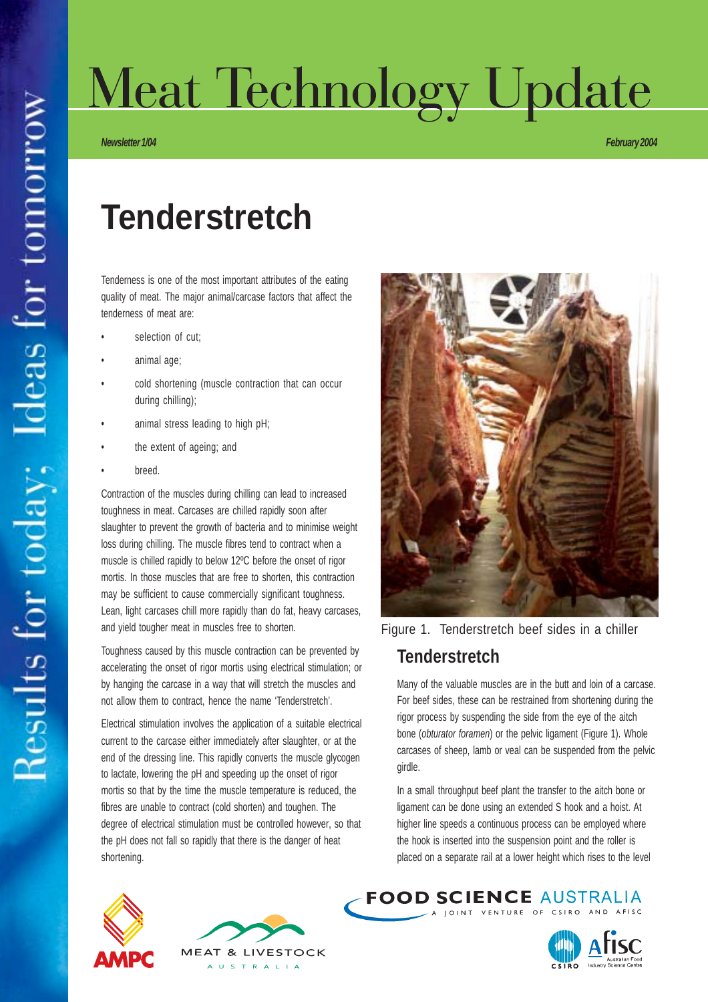# Meat Technology Update

*Newsletter 1/04 February 2004*

## **Tenderstretch**

Tenderness is one of the most important attributes of the eating quality of meat. The major animal/carcase factors that affect the tenderness of meat are:

- selection of cut;
- animal age:
- cold shortening (muscle contraction that can occur during chilling);
- animal stress leading to high pH;
- the extent of ageing; and
- breed.

Contraction of the muscles during chilling can lead to increased toughness in meat. Carcases are chilled rapidly soon after slaughter to prevent the growth of bacteria and to minimise weight loss during chilling. The muscle fibres tend to contract when a muscle is chilled rapidly to below 12ºC before the onset of rigor mortis. In those muscles that are free to shorten, this contraction may be sufficient to cause commercially significant toughness. Lean, light carcases chill more rapidly than do fat, heavy carcases, and yield tougher meat in muscles free to shorten.

Toughness caused by this muscle contraction can be prevented by accelerating the onset of rigor mortis using electrical stimulation; or by hanging the carcase in a way that will stretch the muscles and not allow them to contract, hence the name 'Tenderstretch'.

Electrical stimulation involves the application of a suitable electrical current to the carcase either immediately after slaughter, or at the end of the dressing line. This rapidly converts the muscle glycogen to lactate, lowering the pH and speeding up the onset of rigor mortis so that by the time the muscle temperature is reduced, the fibres are unable to contract (cold shorten) and toughen. The degree of electrical stimulation must be controlled however, so that the pH does not fall so rapidly that there is the danger of heat shortening.





#### **Tenderstretch**

Many of the valuable muscles are in the butt and loin of a carcase. For beef sides, these can be restrained from shortening during the rigor process by suspending the side from the eye of the aitch bone (*obturator foramen*) or the pelvic ligament (Figure 1). Whole carcases of sheep, lamb or veal can be suspended from the pelvic girdle.

In a small throughput beef plant the transfer to the aitch bone or ligament can be done using an extended S hook and a hoist. At higher line speeds a continuous process can be employed where the hook is inserted into the suspension point and the roller is placed on a separate rail at a lower height which rises to the level

**FOOD SCIENCE AUSTRALIA** 







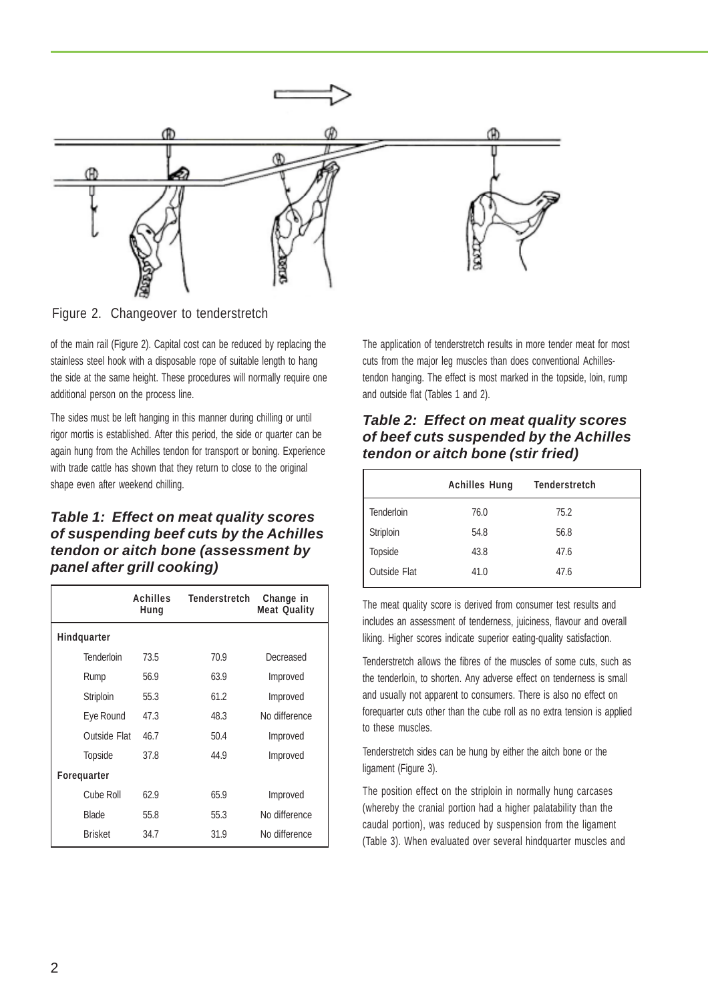

Figure 2. Changeover to tenderstretch

of the main rail (Figure 2). Capital cost can be reduced by replacing the stainless steel hook with a disposable rope of suitable length to hang the side at the same height. These procedures will normally require one additional person on the process line.

The sides must be left hanging in this manner during chilling or until rigor mortis is established. After this period, the side or quarter can be again hung from the Achilles tendon for transport or boning. Experience with trade cattle has shown that they return to close to the original shape even after weekend chilling.

#### *Table 1: Effect on meat quality scores of suspending beef cuts by the Achilles tendon or aitch bone (assessment by panel after grill cooking)*

|                    | Achilles<br>Hung | <b>Tenderstretch</b> | Change in<br><b>Meat Quality</b> |  |
|--------------------|------------------|----------------------|----------------------------------|--|
| Hindquarter        |                  |                      |                                  |  |
| Tenderloin         | 73.5             | 70.9                 | Decreased                        |  |
| Rump               | 56.9             | 63.9                 | Improved                         |  |
| Striploin          | 55.3             | 61.2                 | Improved                         |  |
| Eye Round          | 47.3             | 48.3                 | No difference                    |  |
| Outside Flat       | 46.7             | 50.4                 | Improved                         |  |
| Topside            | 37.8             | 44.9                 | Improved                         |  |
| <b>Foreguarter</b> |                  |                      |                                  |  |
| Cube Roll          | 62.9             | 65.9                 | Improved                         |  |
| <b>Blade</b>       | 55.8             | 55.3                 | No difference                    |  |
| <b>Brisket</b>     | 34.7             | 31.9                 | No difference                    |  |

The application of tenderstretch results in more tender meat for most cuts from the major leg muscles than does conventional Achillestendon hanging. The effect is most marked in the topside, loin, rump and outside flat (Tables 1 and 2).

#### *Table 2: Effect on meat quality scores of beef cuts suspended by the Achilles tendon or aitch bone (stir fried)*

|                     | <b>Achilles Hung</b> | <b>Tenderstretch</b> |  |
|---------------------|----------------------|----------------------|--|
| Tenderloin          | 76.0                 | 75.2                 |  |
| Striploin           | 54.8                 | 56.8                 |  |
| Topside             | 43.8                 | 47.6                 |  |
| <b>Outside Flat</b> | 41.0                 | 47.6                 |  |

The meat quality score is derived from consumer test results and includes an assessment of tenderness, juiciness, flavour and overall liking. Higher scores indicate superior eating-quality satisfaction.

Tenderstretch allows the fibres of the muscles of some cuts, such as the tenderloin, to shorten. Any adverse effect on tenderness is small and usually not apparent to consumers. There is also no effect on forequarter cuts other than the cube roll as no extra tension is applied to these muscles.

Tenderstretch sides can be hung by either the aitch bone or the ligament (Figure 3).

The position effect on the striploin in normally hung carcases (whereby the cranial portion had a higher palatability than the caudal portion), was reduced by suspension from the ligament (Table 3). When evaluated over several hindquarter muscles and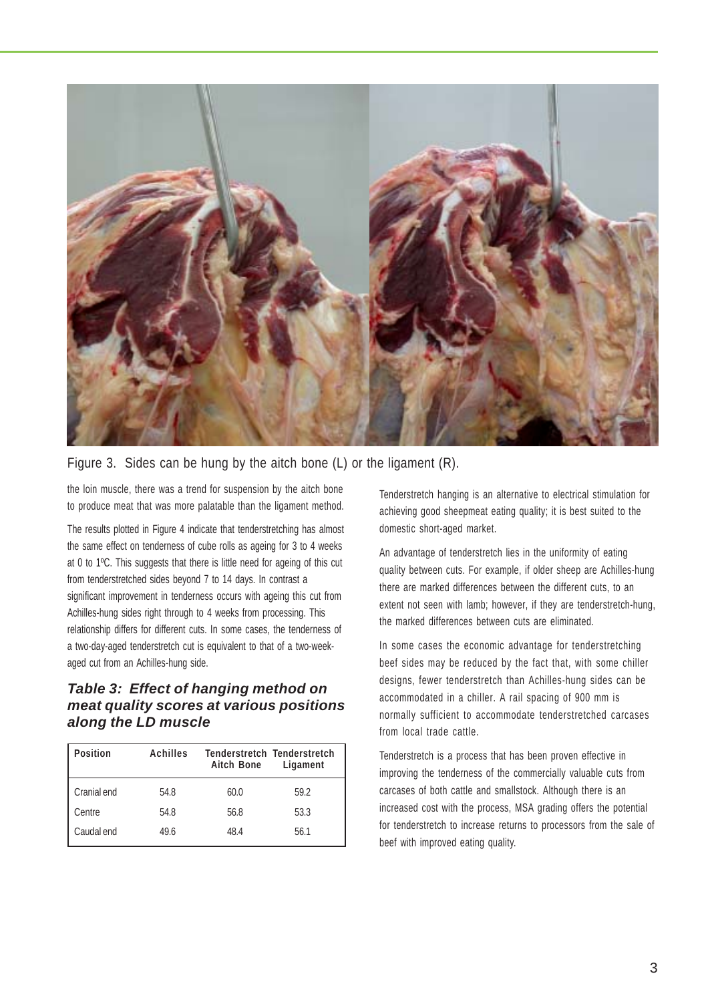

#### Figure 3. Sides can be hung by the aitch bone (L) or the ligament (R).

the loin muscle, there was a trend for suspension by the aitch bone to produce meat that was more palatable than the ligament method.

The results plotted in Figure 4 indicate that tenderstretching has almost the same effect on tenderness of cube rolls as ageing for 3 to 4 weeks at 0 to 1ºC. This suggests that there is little need for ageing of this cut from tenderstretched sides beyond 7 to 14 days. In contrast a significant improvement in tenderness occurs with ageing this cut from Achilles-hung sides right through to 4 weeks from processing. This relationship differs for different cuts. In some cases, the tenderness of a two-day-aged tenderstretch cut is equivalent to that of a two-weekaged cut from an Achilles-hung side.

#### *Table 3: Effect of hanging method on meat quality scores at various positions along the LD muscle*

| <b>Position</b> | <b>Achilles</b> | <b>Aitch Bone</b> | <b>Tenderstretch Tenderstretch</b><br>Ligament |
|-----------------|-----------------|-------------------|------------------------------------------------|
| Cranial end     | 54.8            | 60.0              | 59.2                                           |
| Centre          | 54.8            | 56.8              | 53.3                                           |
| Caudal end      | 49.6            | 48.4              | 56.1                                           |

Tenderstretch hanging is an alternative to electrical stimulation for achieving good sheepmeat eating quality; it is best suited to the domestic short-aged market.

An advantage of tenderstretch lies in the uniformity of eating quality between cuts. For example, if older sheep are Achilles-hung there are marked differences between the different cuts, to an extent not seen with lamb; however, if they are tenderstretch-hung, the marked differences between cuts are eliminated.

In some cases the economic advantage for tenderstretching beef sides may be reduced by the fact that, with some chiller designs, fewer tenderstretch than Achilles-hung sides can be accommodated in a chiller. A rail spacing of 900 mm is normally sufficient to accommodate tenderstretched carcases from local trade cattle.

Tenderstretch is a process that has been proven effective in improving the tenderness of the commercially valuable cuts from carcases of both cattle and smallstock. Although there is an increased cost with the process, MSA grading offers the potential for tenderstretch to increase returns to processors from the sale of beef with improved eating quality.